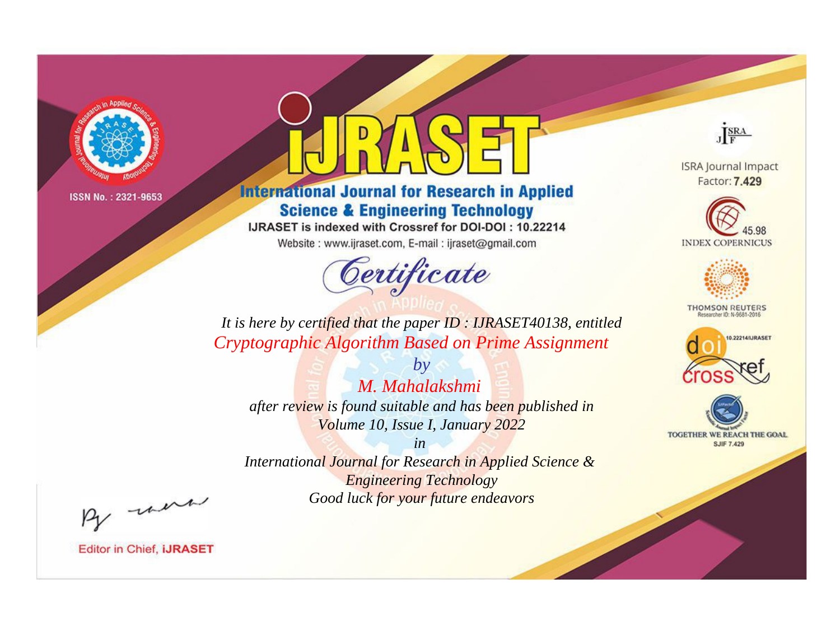

# **International Journal for Research in Applied Science & Engineering Technology**

IJRASET is indexed with Crossref for DOI-DOI: 10.22214

Website: www.ijraset.com, E-mail: ijraset@gmail.com



JERA

**ISRA Journal Impact** Factor: 7.429





**THOMSON REUTERS** 



TOGETHER WE REACH THE GOAL **SJIF 7.429** 

It is here by certified that the paper ID: IJRASET40138, entitled Cryptographic Algorithm Based on Prime Assignment

 $b\nu$ M. Mahalakshmi after review is found suitable and has been published in Volume 10, Issue I, January 2022

 $in$ International Journal for Research in Applied Science & **Engineering Technology** Good luck for your future endeavors

By morn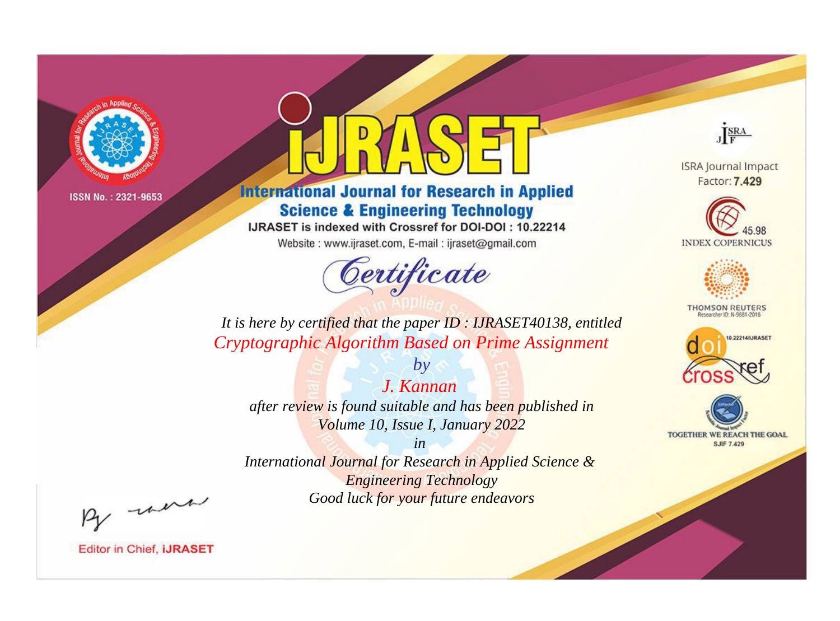

# **International Journal for Research in Applied Science & Engineering Technology**

IJRASET is indexed with Crossref for DOI-DOI: 10.22214

Website: www.ijraset.com, E-mail: ijraset@gmail.com



JERA

**ISRA Journal Impact** Factor: 7.429





**THOMSON REUTERS** 



TOGETHER WE REACH THE GOAL **SJIF 7.429** 

*It is here by certified that the paper ID : IJRASET40138, entitled Cryptographic Algorithm Based on Prime Assignment*

*J. Kannan after review is found suitable and has been published in Volume 10, Issue I, January 2022*

*by*

*in* 

*International Journal for Research in Applied Science & Engineering Technology Good luck for your future endeavors*

By morn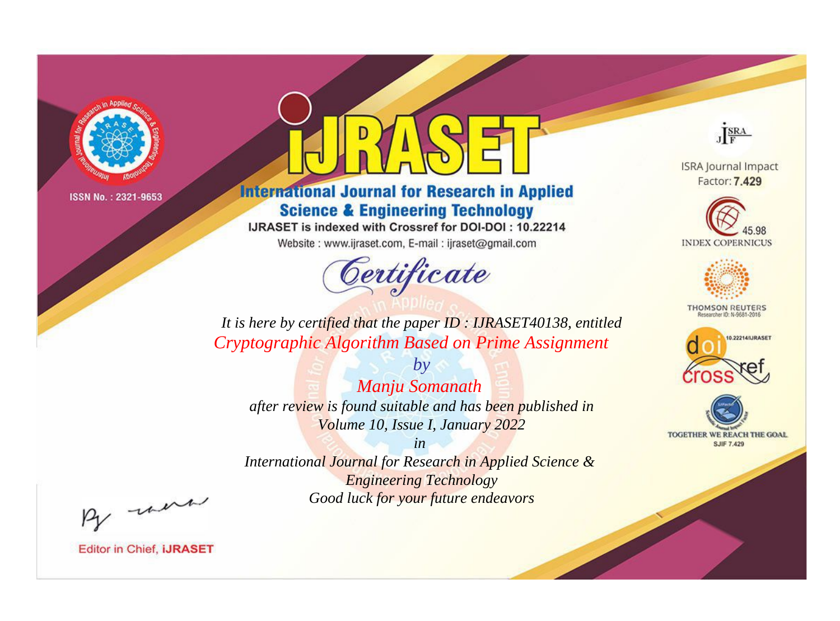

# **International Journal for Research in Applied Science & Engineering Technology**

IJRASET is indexed with Crossref for DOI-DOI: 10.22214

Website: www.ijraset.com, E-mail: ijraset@gmail.com



JERA

**ISRA Journal Impact** Factor: 7.429





**THOMSON REUTERS** 



TOGETHER WE REACH THE GOAL **SJIF 7.429** 

It is here by certified that the paper ID: IJRASET40138, entitled Cryptographic Algorithm Based on Prime Assignment

Manju Somanath after review is found suitable and has been published in Volume 10, Issue I, January 2022

 $by$ 

 $in$ International Journal for Research in Applied Science & **Engineering Technology** Good luck for your future endeavors

By morn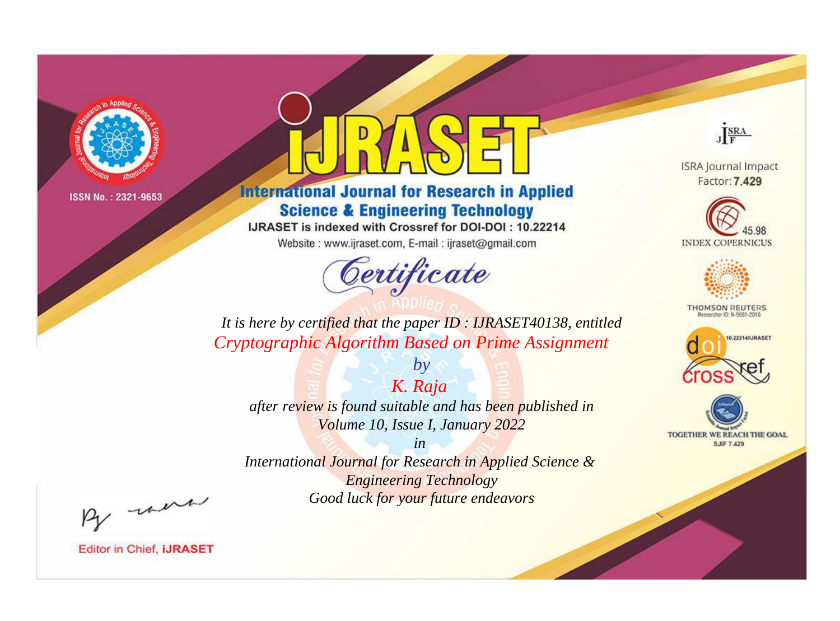

# **International Journal for Research in Applied Science & Engineering Technology**

IJRASET is indexed with Crossref for DOI-DOI: 10.22214

Website: www.ijraset.com, E-mail: ijraset@gmail.com



JERA

**ISRA Journal Impact** Factor: 7.429





**THOMSON REUTERS** 

![](_page_3_Picture_12.jpeg)

TOGETHER WE REACH THE GOAL **SJIF 7.429** 

*It is here by certified that the paper ID : IJRASET40138, entitled Cryptographic Algorithm Based on Prime Assignment*

*K. Raja after review is found suitable and has been published in Volume 10, Issue I, January 2022*

*by*

*in* 

*International Journal for Research in Applied Science & Engineering Technology Good luck for your future endeavors*

By morn